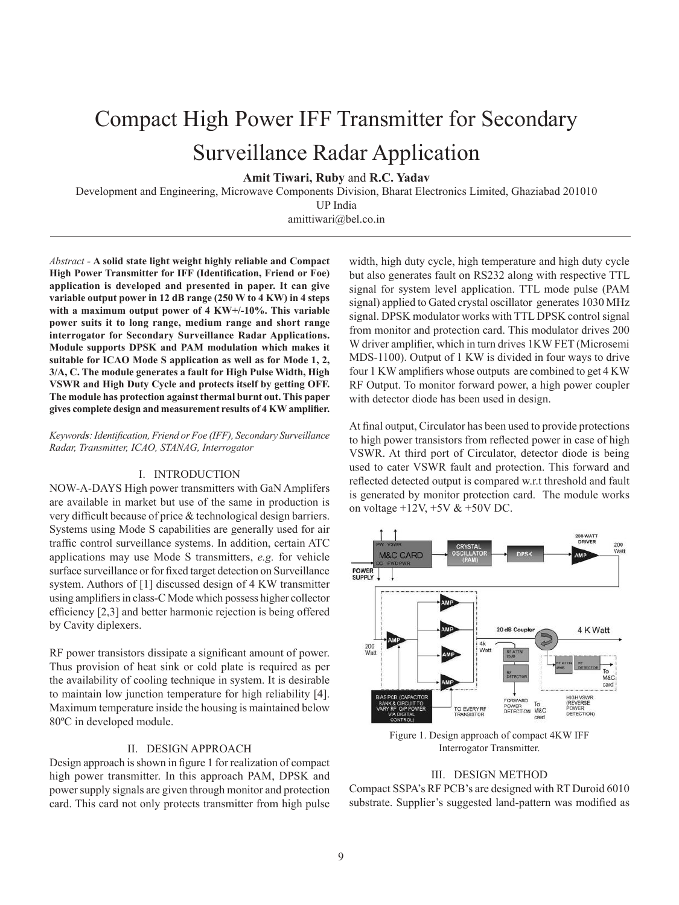# Compact High Power IFF Transmitter for Secondary Surveillance Radar Application

**Amit Tiwari, Ruby** and **R.C. Yadav**

Development and Engineering, Microwave Components Division, Bharat Electronics Limited, Ghaziabad 201010

UP India

amittiwari@bel.co.in

*Abstract -* **A solid state light weight highly reliable and Compact High Power Transmitter for IFF (Identification, Friend or Foe) application is developed and presented in paper. It can give variable output power in 12 dB range (250 W to 4 KW) in 4 steps with a maximum output power of 4 KW+/-10%. This variable power suits it to long range, medium range and short range interrogator for Secondary Surveillance Radar Applications. Module supports DPSK and PAM modulation which makes it suitable for ICAO Mode S application as well as for Mode 1, 2, 3/A, C. The module generates a fault for High Pulse Width, High VSWR and High Duty Cycle and protects itself by getting OFF. The module has protection against thermal burnt out. This paper gives complete design and measurement results of 4 KW amplifier.** 

# *Keywords: Identification, Friend or Foe (IFF), Secondary Surveillance Radar, Transmitter, ICAO, STANAG, Interrogator*

### I. INTRODUCTION

NOW-A-DAYS High power transmitters with GaN Amplifers are available in market but use of the same in production is very difficult because of price & technological design barriers. Systems using Mode S capabilities are generally used for air traffic control surveillance systems. In addition, certain ATC applications may use Mode S transmitters, *e.g.* for vehicle surface surveillance or for fixed target detection on Surveillance system. Authors of [1] discussed design of 4 KW transmitter using amplifiers in class-C Mode which possess higher collector efficiency [2,3] and better harmonic rejection is being offered by Cavity diplexers.

RF power transistors dissipate a significant amount of power. Thus provision of heat sink or cold plate is required as per the availability of cooling technique in system. It is desirable to maintain low junction temperature for high reliability [4]. Maximum temperature inside the housing is maintained below 80ºC in developed module.

# II. DESIGN APPROACH

Design approach is shown in figure 1 for realization of compact high power transmitter. In this approach PAM, DPSK and power supply signals are given through monitor and protection card. This card not only protects transmitter from high pulse

width, high duty cycle, high temperature and high duty cycle but also generates fault on RS232 along with respective TTL signal for system level application. TTL mode pulse (PAM signal) applied to Gated crystal oscillator generates 1030 MHz signal. DPSK modulator works with TTL DPSK control signal from monitor and protection card. This modulator drives 200 W driver amplifier, which in turn drives 1KW FET (Microsemi MDS-1100). Output of 1 KW is divided in four ways to drive four 1 KW amplifiers whose outputs are combined to get 4 KW RF Output. To monitor forward power, a high power coupler with detector diode has been used in design.

At final output, Circulator has been used to provide protections to high power transistors from reflected power in case of high VSWR. At third port of Circulator, detector diode is being used to cater VSWR fault and protection. This forward and reflected detected output is compared w.r.t threshold and fault is generated by monitor protection card. The module works on voltage  $+12V$ ,  $+5V & +50V$  DC.



Figure 1. Design approach of compact 4KW IFF Interrogator Transmitter.

# III. DESIGN METHOD

Compact SSPA's RF PCB's are designed with RT Duroid 6010 substrate. Supplier's suggested land-pattern was modified as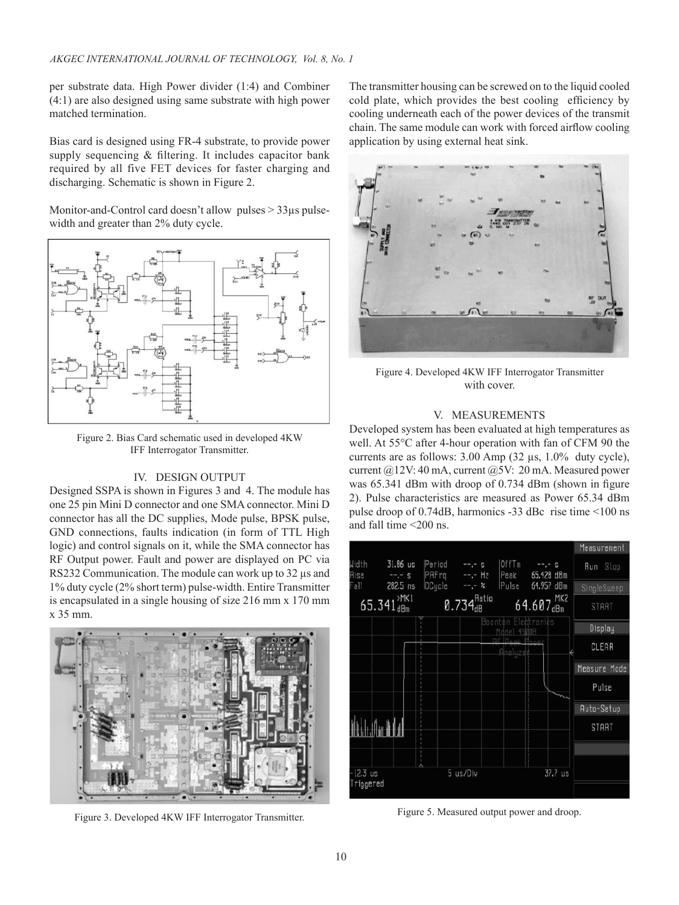per substrate data. High Power divider (1:4) and Combiner (4:1) are also designed using same substrate with high power matched termination.

Bias card is designed using FR-4 substrate, to provide power supply sequencing & filtering. It includes capacitor bank required by all five FET devices for faster charging and discharging. Schematic is shown in Figure 2.

Monitor-and-Control card doesn't allow pulses > 33µs pulsewidth and greater than 2% duty cycle.



Figure 2. Bias Card schematic used in developed 4KW IFF Interrogator Transmitter.

# IV. DESIGN OUTPUT

Designed SSPA is shown in Figures 3 and 4. The module has one 25 pin Mini D connector and one SMA connector. Mini D connector has all the DC supplies, Mode pulse, BPSK pulse, GND connections, faults indication (in form of TTL High logic) and control signals on it, while the SMA connector has RF Output power. Fault and power are displayed on PC via RS232 Communication. The module can work up to 32  $\mu$ s and 1% duty cycle (2% short term) pulse-width. Entire Transmitter is encapsulated in a single housing of size 216 mm x 170 mm x 35 mm.



Figure 3. Developed 4KW IFF Interrogator Transmitter.

The transmitter housing can be screwed on to the liquid cooled cold plate, which provides the best cooling efficiency by cooling underneath each of the power devices of the transmit chain. The same module can work with forced airflow cooling application by using external heat sink.



Figure 4. Developed 4KW IFF Interrogator Transmitter with cover.

# V. MEASUREMENTS

Developed system has been evaluated at high temperatures as well. At 55°C after 4-hour operation with fan of CFM 90 the currents are as follows: 3.00 Amp (32 µs, 1.0% duty cycle), current @12V: 40 mA, current @5V: 20 mA. Measured power was 65.341 dBm with droop of 0.734 dBm (shown in figure 2). Pulse characteristics are measured as Power 65.34 dBm pulse droop of 0.74dB, harmonics -33 dBc rise time <100 ns and fall time <200 ns.



Figure 5. Measured output power and droop.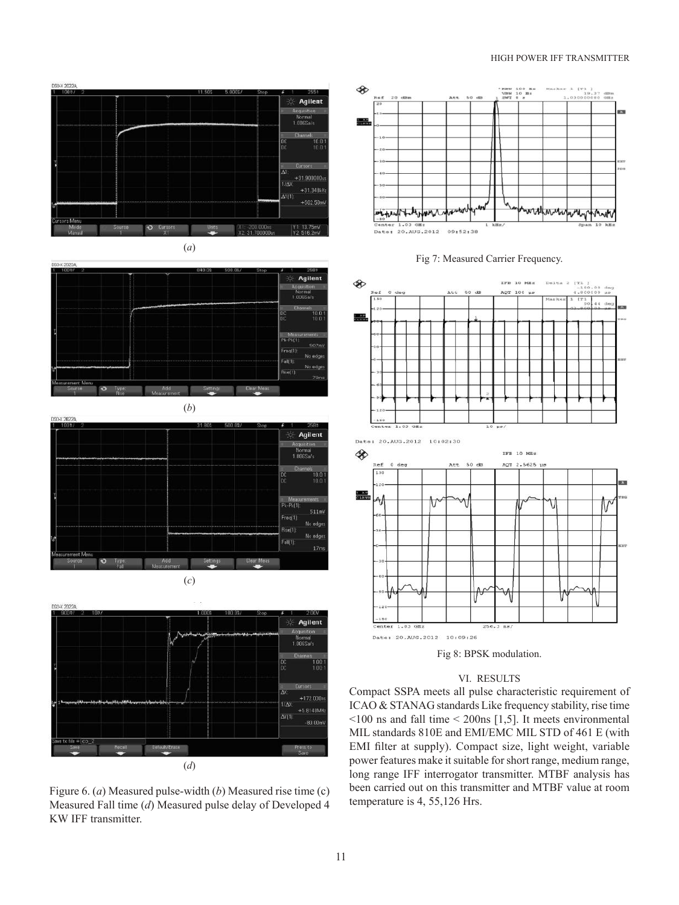### HIGH POWER IFF TRANSMITTER











Figure 6. (*a*) Measured pulse-width (*b*) Measured rise time (c) Measured Fall time (*d*) Measured pulse delay of Developed 4 KW IFF transmitter.









# VI. RESULTS

Compact SSPA meets all pulse characteristic requirement of ICAO & STANAG standards Like frequency stability, rise time <100 ns and fall time < 200ns [1,5]. It meets environmental MIL standards 810E and EMI/EMC MIL STD of 461 E (with EMI filter at supply). Compact size, light weight, variable power features make it suitable for short range, medium range, long range IFF interrogator transmitter. MTBF analysis has been carried out on this transmitter and MTBF value at room temperature is 4, 55,126 Hrs.